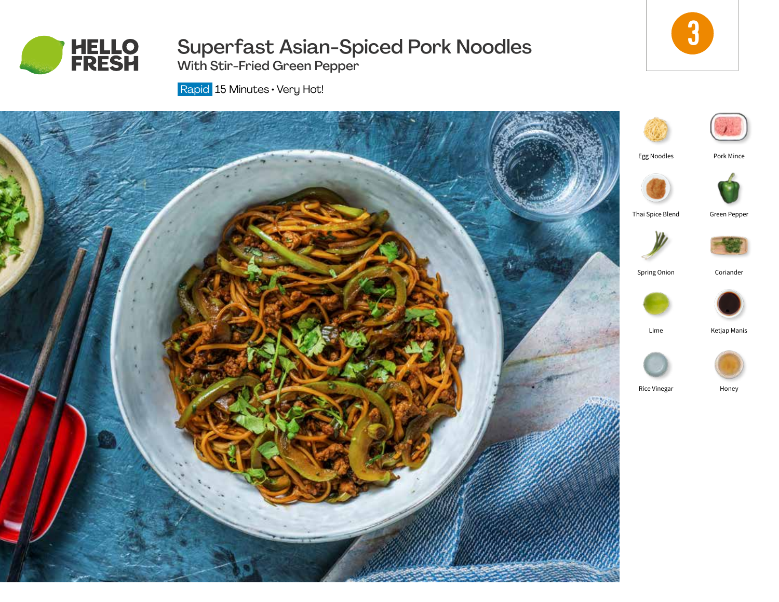

Superfast Asian-Spiced Pork Noodles

3

With Stir-Fried Green Pepper

Rapid 15 Minutes • Very Hot!